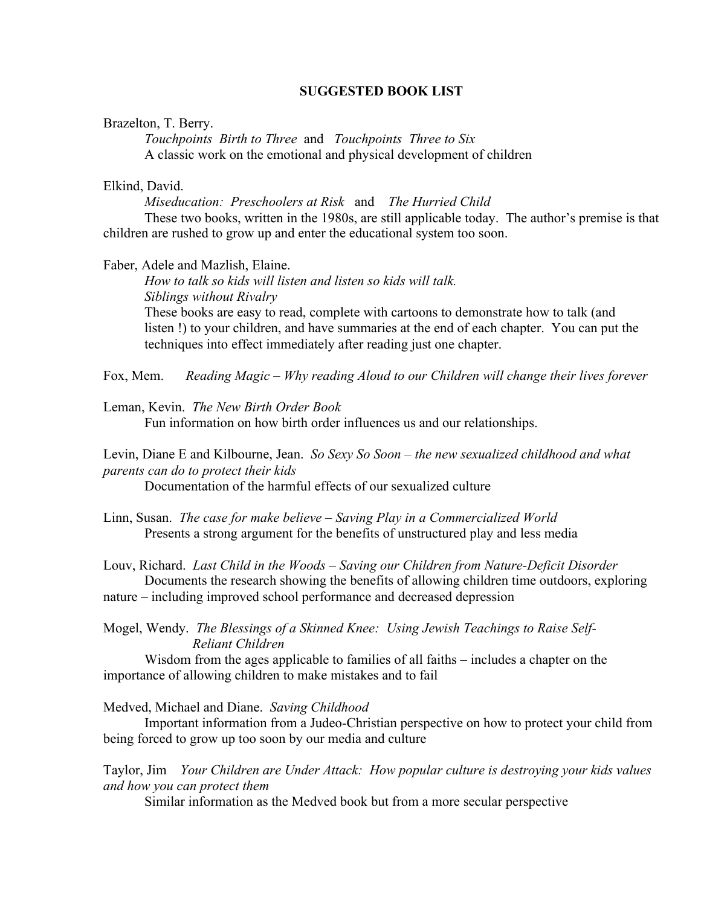## **SUGGESTED BOOK LIST**

#### Brazelton, T. Berry.

*Touchpoints Birth to Three* and *Touchpoints Three to Six* A classic work on the emotional and physical development of children

### Elkind, David.

*Miseducation: Preschoolers at Risk* and *The Hurried Child* These two books, written in the 1980s, are still applicable today. The author's premise is that children are rushed to grow up and enter the educational system too soon.

### Faber, Adele and Mazlish, Elaine.

*How to talk so kids will listen and listen so kids will talk. Siblings without Rivalry* These books are easy to read, complete with cartoons to demonstrate how to talk (and listen !) to your children, and have summaries at the end of each chapter. You can put the techniques into effect immediately after reading just one chapter.

Fox, Mem. *Reading Magic – Why reading Aloud to our Children will change their lives forever*

#### Leman, Kevin. *The New Birth Order Book*

Fun information on how birth order influences us and our relationships.

Levin, Diane E and Kilbourne, Jean. *So Sexy So Soon – the new sexualized childhood and what parents can do to protect their kids*

Documentation of the harmful effects of our sexualized culture

Linn, Susan. *The case for make believe – Saving Play in a Commercialized World* Presents a strong argument for the benefits of unstructured play and less media

Louv, Richard. *Last Child in the Woods – Saving our Children from Nature-Deficit Disorder* Documents the research showing the benefits of allowing children time outdoors, exploring

nature – including improved school performance and decreased depression

Mogel, Wendy. *The Blessings of a Skinned Knee: Using Jewish Teachings to Raise Self- Reliant Children*

Wisdom from the ages applicable to families of all faiths – includes a chapter on the importance of allowing children to make mistakes and to fail

#### Medved, Michael and Diane. *Saving Childhood*

Important information from a Judeo-Christian perspective on how to protect your child from being forced to grow up too soon by our media and culture

Taylor, Jim *Your Children are Under Attack: How popular culture is destroying your kids values and how you can protect them*

Similar information as the Medved book but from a more secular perspective